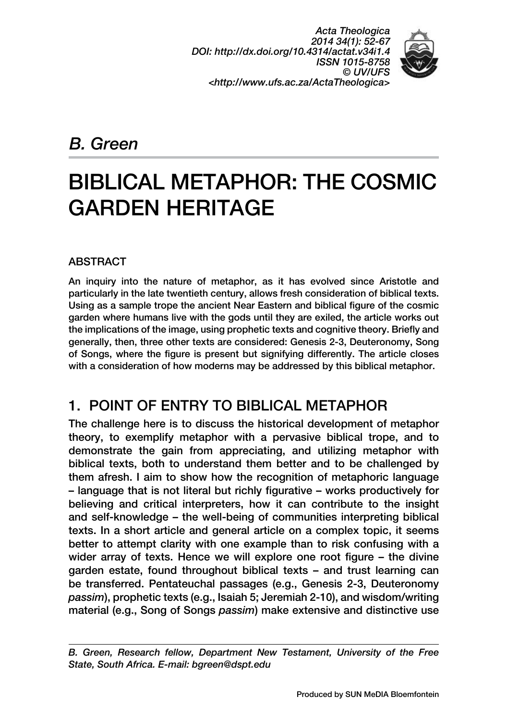*Acta Theologica 2014 34(1): 52-67 DOI: http://dx.doi.org/10.4314/actat.v34i1.4 ISSN 1015-8758 © UV/UFS <http://www.ufs.ac.za/ActaTheologica>*



*B. Green*

# BIBLICAL METAPHOR: THE COSMIC GARDEN HERITAGE

### ABSTRACT

An inquiry into the nature of metaphor, as it has evolved since Aristotle and particularly in the late twentieth century, allows fresh consideration of biblical texts. Using as a sample trope the ancient Near Eastern and biblical figure of the cosmic garden where humans live with the gods until they are exiled, the article works out the implications of the image, using prophetic texts and cognitive theory. Briefly and generally, then, three other texts are considered: Genesis 2-3, Deuteronomy, Song of Songs, where the figure is present but signifying differently. The article closes with a consideration of how moderns may be addressed by this biblical metaphor.

## 1. POINT OF ENTRY TO BIBLICAL METAPHOR

The challenge here is to discuss the historical development of metaphor theory, to exemplify metaphor with a pervasive biblical trope, and to demonstrate the gain from appreciating, and utilizing metaphor with biblical texts, both to understand them better and to be challenged by them afresh. I aim to show how the recognition of metaphoric language – language that is not literal but richly figurative – works productively for believing and critical interpreters, how it can contribute to the insight and self-knowledge – the well-being of communities interpreting biblical texts. In a short article and general article on a complex topic, it seems better to attempt clarity with one example than to risk confusing with a wider array of texts. Hence we will explore one root figure – the divine garden estate, found throughout biblical texts – and trust learning can be transferred. Pentateuchal passages (e.g., Genesis 2-3, Deuteronomy *passim*), prophetic texts (e.g., Isaiah 5; Jeremiah 2-10), and wisdom/writing material (e.g., Song of Songs *passim*) make extensive and distinctive use

*B. Green, Research fellow, Department New Testament, University of the Free State, South Africa. E-mail: bgreen@dspt.edu*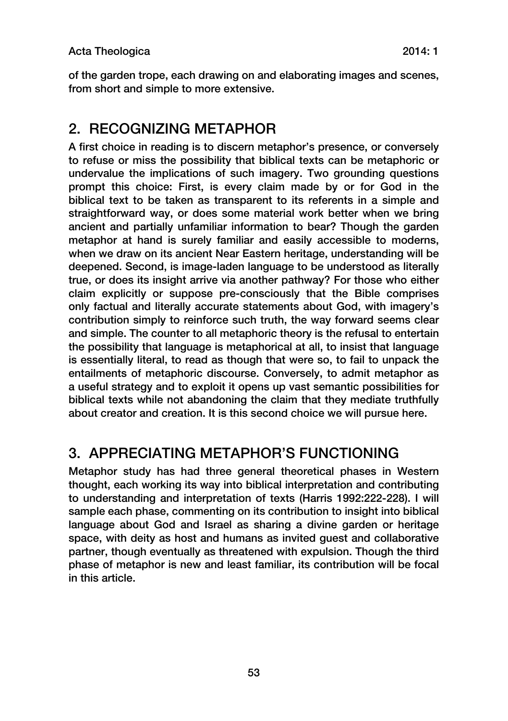of the garden trope, each drawing on and elaborating images and scenes, from short and simple to more extensive.

## 2. RECOGNIZING METAPHOR

A first choice in reading is to discern metaphor's presence, or conversely to refuse or miss the possibility that biblical texts can be metaphoric or undervalue the implications of such imagery. Two grounding questions prompt this choice: First, is every claim made by or for God in the biblical text to be taken as transparent to its referents in a simple and straightforward way, or does some material work better when we bring ancient and partially unfamiliar information to bear? Though the garden metaphor at hand is surely familiar and easily accessible to moderns, when we draw on its ancient Near Eastern heritage, understanding will be deepened. Second, is image-laden language to be understood as literally true, or does its insight arrive via another pathway? For those who either claim explicitly or suppose pre-consciously that the Bible comprises only factual and literally accurate statements about God, with imagery's contribution simply to reinforce such truth, the way forward seems clear and simple. The counter to all metaphoric theory is the refusal to entertain the possibility that language is metaphorical at all, to insist that language is essentially literal, to read as though that were so, to fail to unpack the entailments of metaphoric discourse. Conversely, to admit metaphor as a useful strategy and to exploit it opens up vast semantic possibilities for biblical texts while not abandoning the claim that they mediate truthfully about creator and creation. It is this second choice we will pursue here.

## 3. APPRECIATING METAPHOR'S FUNCTIONING

Metaphor study has had three general theoretical phases in Western thought, each working its way into biblical interpretation and contributing to understanding and interpretation of texts (Harris 1992:222-228). I will sample each phase, commenting on its contribution to insight into biblical language about God and Israel as sharing a divine garden or heritage space, with deity as host and humans as invited guest and collaborative partner, though eventually as threatened with expulsion. Though the third phase of metaphor is new and least familiar, its contribution will be focal in this article.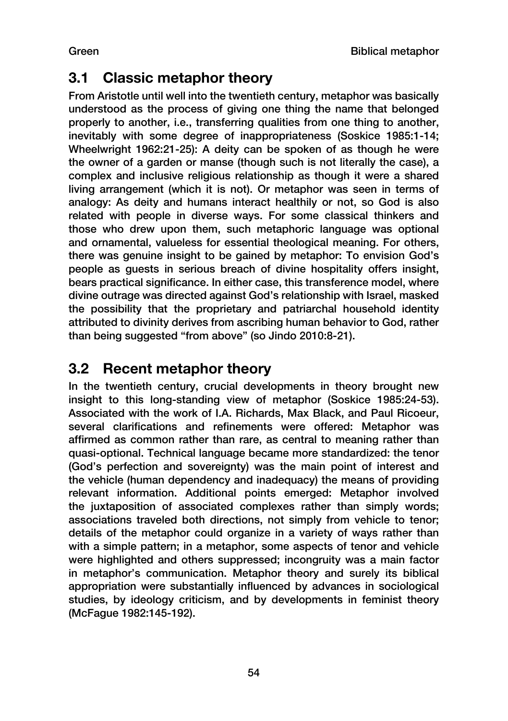## **3.1 Classic metaphor theory**

From Aristotle until well into the twentieth century, metaphor was basically understood as the process of giving one thing the name that belonged properly to another, i.e., transferring qualities from one thing to another, inevitably with some degree of inappropriateness (Soskice 1985:1-14; Wheelwright 1962:21-25): A deity can be spoken of as though he were the owner of a garden or manse (though such is not literally the case), a complex and inclusive religious relationship as though it were a shared living arrangement (which it is not). Or metaphor was seen in terms of analogy: As deity and humans interact healthily or not, so God is also related with people in diverse ways. For some classical thinkers and those who drew upon them, such metaphoric language was optional and ornamental, valueless for essential theological meaning. For others, there was genuine insight to be gained by metaphor: To envision God's people as guests in serious breach of divine hospitality offers insight, bears practical significance. In either case, this transference model, where divine outrage was directed against God's relationship with Israel, masked the possibility that the proprietary and patriarchal household identity attributed to divinity derives from ascribing human behavior to God, rather than being suggested "from above" (so Jindo 2010:8-21).

## **3.2 Recent metaphor theory**

In the twentieth century, crucial developments in theory brought new insight to this long-standing view of metaphor (Soskice 1985:24-53). Associated with the work of I.A. Richards, Max Black, and Paul Ricoeur, several clarifications and refinements were offered: Metaphor was affirmed as common rather than rare, as central to meaning rather than quasi-optional. Technical language became more standardized: the tenor (God's perfection and sovereignty) was the main point of interest and the vehicle (human dependency and inadequacy) the means of providing relevant information. Additional points emerged: Metaphor involved the juxtaposition of associated complexes rather than simply words; associations traveled both directions, not simply from vehicle to tenor; details of the metaphor could organize in a variety of ways rather than with a simple pattern; in a metaphor, some aspects of tenor and vehicle were highlighted and others suppressed; incongruity was a main factor in metaphor's communication. Metaphor theory and surely its biblical appropriation were substantially influenced by advances in sociological studies, by ideology criticism, and by developments in feminist theory (McFague 1982:145-192).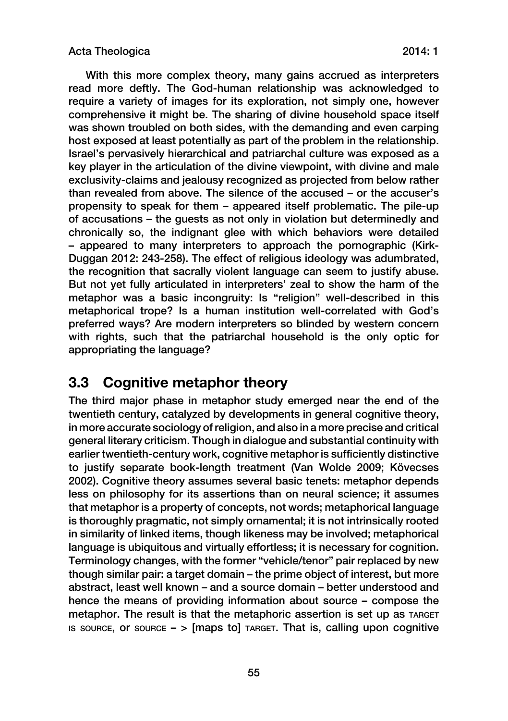With this more complex theory, many gains accrued as interpreters read more deftly. The God-human relationship was acknowledged to require a variety of images for its exploration, not simply one, however comprehensive it might be. The sharing of divine household space itself was shown troubled on both sides, with the demanding and even carping host exposed at least potentially as part of the problem in the relationship. Israel's pervasively hierarchical and patriarchal culture was exposed as a key player in the articulation of the divine viewpoint, with divine and male exclusivity-claims and jealousy recognized as projected from below rather than revealed from above. The silence of the accused – or the accuser's propensity to speak for them – appeared itself problematic. The pile-up of accusations – the guests as not only in violation but determinedly and chronically so, the indignant glee with which behaviors were detailed – appeared to many interpreters to approach the pornographic (Kirk-Duggan 2012: 243-258). The effect of religious ideology was adumbrated, the recognition that sacrally violent language can seem to justify abuse. But not yet fully articulated in interpreters' zeal to show the harm of the metaphor was a basic incongruity: Is "religion" well-described in this metaphorical trope? Is a human institution well-correlated with God's preferred ways? Are modern interpreters so blinded by western concern with rights, such that the patriarchal household is the only optic for appropriating the language?

## **3.3 Cognitive metaphor theory**

The third major phase in metaphor study emerged near the end of the twentieth century, catalyzed by developments in general cognitive theory, in more accurate sociology of religion, and also in a more precise and critical general literary criticism. Though in dialogue and substantial continuity with earlier twentieth-century work, cognitive metaphor is sufficiently distinctive to justify separate book-length treatment (Van Wolde 2009; Kövecses 2002). Cognitive theory assumes several basic tenets: metaphor depends less on philosophy for its assertions than on neural science; it assumes that metaphor is a property of concepts, not words; metaphorical language is thoroughly pragmatic, not simply ornamental; it is not intrinsically rooted in similarity of linked items, though likeness may be involved; metaphorical language is ubiquitous and virtually effortless; it is necessary for cognition. Terminology changes, with the former "vehicle/tenor" pair replaced by new though similar pair: a target domain – the prime object of interest, but more abstract, least well known – and a source domain – better understood and hence the means of providing information about source – compose the metaphor. The result is that the metaphoric assertion is set up as TARGET is source, or source  $-$  > [maps to]  $\tau$ ARGET. That is, calling upon cognitive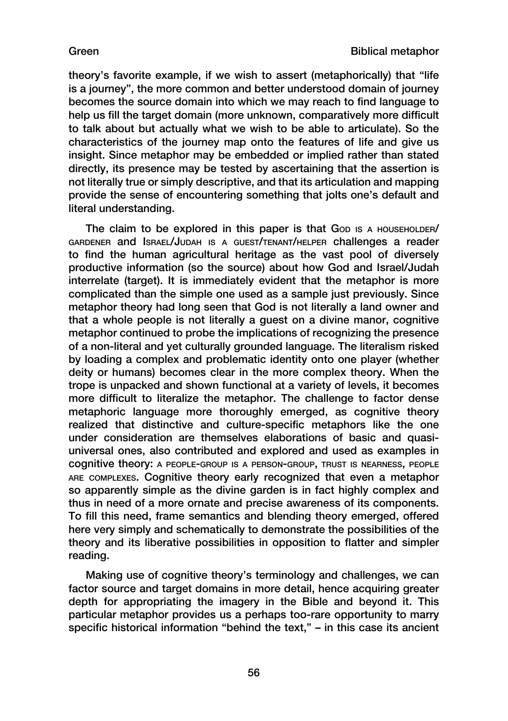theory's favorite example, if we wish to assert (metaphorically) that "life is a journey", the more common and better understood domain of journey becomes the source domain into which we may reach to find language to help us fill the target domain (more unknown, comparatively more difficult to talk about but actually what we wish to be able to articulate). So the characteristics of the journey map onto the features of life and give us insight. Since metaphor may be embedded or implied rather than stated directly, its presence may be tested by ascertaining that the assertion is not literally true or simply descriptive, and that its articulation and mapping provide the sense of encountering something that jolts one's default and literal understanding.

The claim to be explored in this paper is that God is a householder/ gardener and Israel/Judah is <sup>a</sup> guest/tenant/helper challenges a reader to find the human agricultural heritage as the vast pool of diversely productive information (so the source) about how God and Israel/Judah interrelate (target). It is immediately evident that the metaphor is more complicated than the simple one used as a sample just previously. Since metaphor theory had long seen that God is not literally a land owner and that a whole people is not literally a guest on a divine manor, cognitive metaphor continued to probe the implications of recognizing the presence of a non-literal and yet culturally grounded language. The literalism risked by loading a complex and problematic identity onto one player (whether deity or humans) becomes clear in the more complex theory. When the trope is unpacked and shown functional at a variety of levels, it becomes more difficult to literalize the metaphor. The challenge to factor dense metaphoric language more thoroughly emerged, as cognitive theory realized that distinctive and culture-specific metaphors like the one under consideration are themselves elaborations of basic and quasiuniversal ones, also contributed and explored and used as examples in cognitive theory: <sup>a</sup> people-group is <sup>a</sup> person-group, trust is nearness, people are complexes. Cognitive theory early recognized that even a metaphor so apparently simple as the divine garden is in fact highly complex and thus in need of a more ornate and precise awareness of its components. To fill this need, frame semantics and blending theory emerged, offered here very simply and schematically to demonstrate the possibilities of the theory and its liberative possibilities in opposition to flatter and simpler reading.

Making use of cognitive theory's terminology and challenges, we can factor source and target domains in more detail, hence acquiring greater depth for appropriating the imagery in the Bible and beyond it. This particular metaphor provides us a perhaps too-rare opportunity to marry specific historical information "behind the text," – in this case its ancient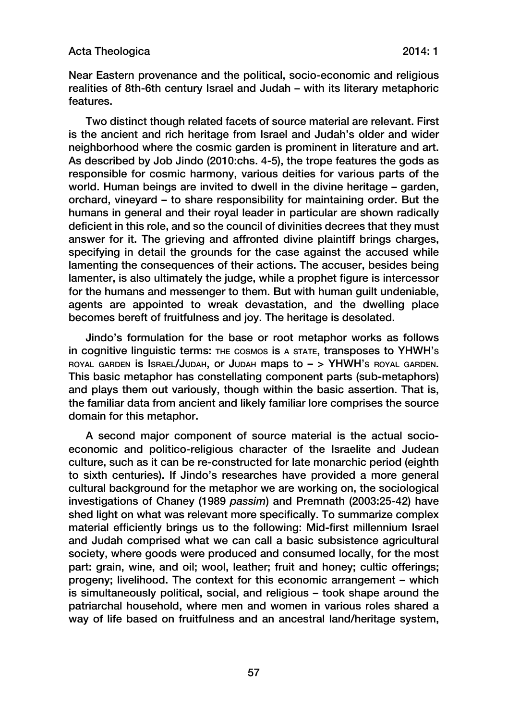Near Eastern provenance and the political, socio-economic and religious realities of 8th-6th century Israel and Judah – with its literary metaphoric features.

Two distinct though related facets of source material are relevant. First is the ancient and rich heritage from Israel and Judah's older and wider neighborhood where the cosmic garden is prominent in literature and art. As described by Job Jindo (2010:chs. 4-5), the trope features the gods as responsible for cosmic harmony, various deities for various parts of the world. Human beings are invited to dwell in the divine heritage – garden, orchard, vineyard – to share responsibility for maintaining order. But the humans in general and their royal leader in particular are shown radically deficient in this role, and so the council of divinities decrees that they must answer for it. The grieving and affronted divine plaintiff brings charges, specifying in detail the grounds for the case against the accused while lamenting the consequences of their actions. The accuser, besides being lamenter, is also ultimately the judge, while a prophet figure is intercessor for the humans and messenger to them. But with human guilt undeniable, agents are appointed to wreak devastation, and the dwelling place becomes bereft of fruitfulness and joy. The heritage is desolated.

Jindo's formulation for the base or root metaphor works as follows in cognitive linguistic terms: the cosmos is <sup>a</sup> state, transposes to YHWH's ROYAL GARDEN IS ISRAEL/JUDAH, OT JUDAH MADS to - > YHWH'S ROYAL GARDEN. This basic metaphor has constellating component parts (sub-metaphors) and plays them out variously, though within the basic assertion. That is, the familiar data from ancient and likely familiar lore comprises the source domain for this metaphor.

A second major component of source material is the actual socioeconomic and politico-religious character of the Israelite and Judean culture, such as it can be re-constructed for late monarchic period (eighth to sixth centuries). If Jindo's researches have provided a more general cultural background for the metaphor we are working on, the sociological investigations of Chaney (1989 *passim*) and Premnath (2003:25-42) have shed light on what was relevant more specifically. To summarize complex material efficiently brings us to the following: Mid-first millennium Israel and Judah comprised what we can call a basic subsistence agricultural society, where goods were produced and consumed locally, for the most part: grain, wine, and oil; wool, leather; fruit and honey; cultic offerings; progeny; livelihood. The context for this economic arrangement – which is simultaneously political, social, and religious – took shape around the patriarchal household, where men and women in various roles shared a way of life based on fruitfulness and an ancestral land/heritage system,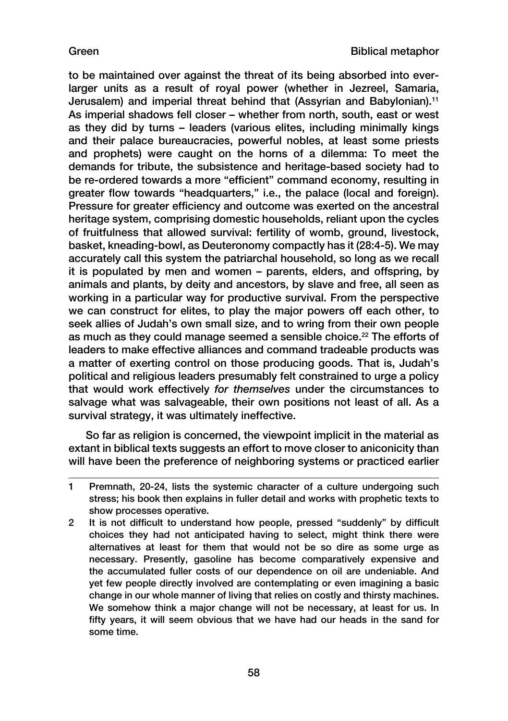to be maintained over against the threat of its being absorbed into everlarger units as a result of royal power (whether in Jezreel, Samaria, Jerusalem) and imperial threat behind that (Assyrian and Babylonian).11 As imperial shadows fell closer – whether from north, south, east or west as they did by turns – leaders (various elites, including minimally kings and their palace bureaucracies, powerful nobles, at least some priests and prophets) were caught on the horns of a dilemma: To meet the demands for tribute, the subsistence and heritage-based society had to be re-ordered towards a more "efficient" command economy, resulting in greater flow towards "headquarters," i.e., the palace (local and foreign). Pressure for greater efficiency and outcome was exerted on the ancestral heritage system, comprising domestic households, reliant upon the cycles of fruitfulness that allowed survival: fertility of womb, ground, livestock, basket, kneading-bowl, as Deuteronomy compactly has it (28:4-5). We may accurately call this system the patriarchal household, so long as we recall it is populated by men and women – parents, elders, and offspring, by animals and plants, by deity and ancestors, by slave and free, all seen as working in a particular way for productive survival. From the perspective we can construct for elites, to play the major powers off each other, to seek allies of Judah's own small size, and to wring from their own people as much as they could manage seemed a sensible choice.<sup>22</sup> The efforts of leaders to make effective alliances and command tradeable products was a matter of exerting control on those producing goods. That is, Judah's political and religious leaders presumably felt constrained to urge a policy that would work effectively *for themselves* under the circumstances to salvage what was salvageable, their own positions not least of all. As a survival strategy, it was ultimately ineffective.

So far as religion is concerned, the viewpoint implicit in the material as extant in biblical texts suggests an effort to move closer to aniconicity than will have been the preference of neighboring systems or practiced earlier

<sup>1</sup> Premnath, 20-24, lists the systemic character of a culture undergoing such stress; his book then explains in fuller detail and works with prophetic texts to show processes operative.

<sup>2</sup> It is not difficult to understand how people, pressed "suddenly" by difficult choices they had not anticipated having to select, might think there were alternatives at least for them that would not be so dire as some urge as necessary. Presently, gasoline has become comparatively expensive and the accumulated fuller costs of our dependence on oil are undeniable. And yet few people directly involved are contemplating or even imagining a basic change in our whole manner of living that relies on costly and thirsty machines. We somehow think a major change will not be necessary, at least for us. In fifty years, it will seem obvious that we have had our heads in the sand for some time.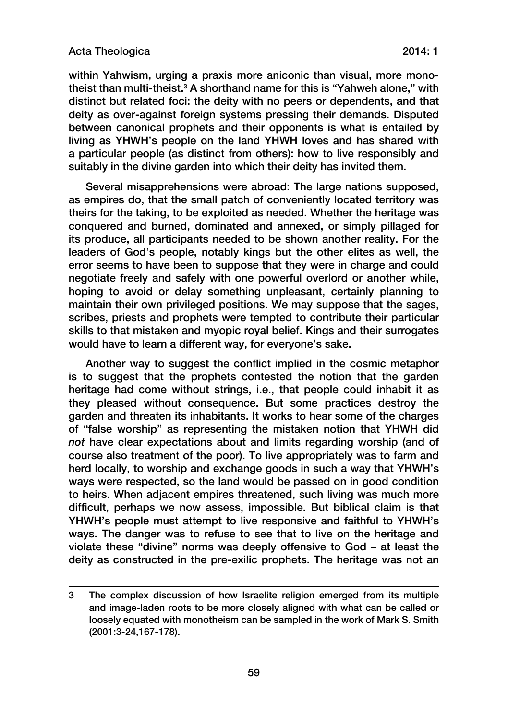within Yahwism, urging a praxis more aniconic than visual, more monotheist than multi-theist.<sup>3</sup> A shorthand name for this is "Yahweh alone," with distinct but related foci: the deity with no peers or dependents, and that deity as over-against foreign systems pressing their demands. Disputed between canonical prophets and their opponents is what is entailed by living as YHWH's people on the land YHWH loves and has shared with a particular people (as distinct from others): how to live responsibly and suitably in the divine garden into which their deity has invited them.

Several misapprehensions were abroad: The large nations supposed, as empires do, that the small patch of conveniently located territory was theirs for the taking, to be exploited as needed. Whether the heritage was conquered and burned, dominated and annexed, or simply pillaged for its produce, all participants needed to be shown another reality. For the leaders of God's people, notably kings but the other elites as well, the error seems to have been to suppose that they were in charge and could negotiate freely and safely with one powerful overlord or another while, hoping to avoid or delay something unpleasant, certainly planning to maintain their own privileged positions. We may suppose that the sages, scribes, priests and prophets were tempted to contribute their particular skills to that mistaken and myopic royal belief. Kings and their surrogates would have to learn a different way, for everyone's sake.

Another way to suggest the conflict implied in the cosmic metaphor is to suggest that the prophets contested the notion that the garden heritage had come without strings, i.e., that people could inhabit it as they pleased without consequence. But some practices destroy the garden and threaten its inhabitants. It works to hear some of the charges of "false worship" as representing the mistaken notion that YHWH did *not* have clear expectations about and limits regarding worship (and of course also treatment of the poor). To live appropriately was to farm and herd locally, to worship and exchange goods in such a way that YHWH's ways were respected, so the land would be passed on in good condition to heirs. When adjacent empires threatened, such living was much more difficult, perhaps we now assess, impossible. But biblical claim is that YHWH's people must attempt to live responsive and faithful to YHWH's ways. The danger was to refuse to see that to live on the heritage and violate these "divine" norms was deeply offensive to God – at least the deity as constructed in the pre-exilic prophets. The heritage was not an

<sup>3</sup> The complex discussion of how Israelite religion emerged from its multiple and image-laden roots to be more closely aligned with what can be called or loosely equated with monotheism can be sampled in the work of Mark S. Smith (2001:3-24,167-178).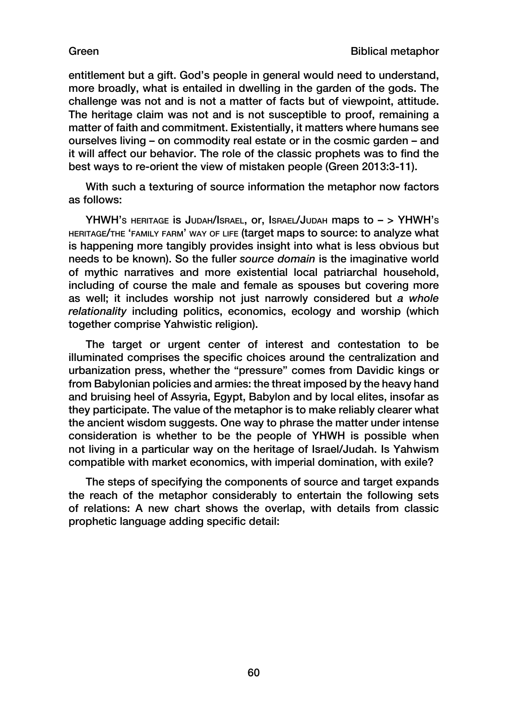#### Green **Biblical metaphor** Biblical metaphor

entitlement but a gift. God's people in general would need to understand, more broadly, what is entailed in dwelling in the garden of the gods. The challenge was not and is not a matter of facts but of viewpoint, attitude. The heritage claim was not and is not susceptible to proof, remaining a matter of faith and commitment. Existentially, it matters where humans see ourselves living – on commodity real estate or in the cosmic garden – and it will affect our behavior. The role of the classic prophets was to find the best ways to re-orient the view of mistaken people (Green 2013:3-11).

With such a texturing of source information the metaphor now factors as follows:

YHWH's HERITAGE IS JUDAH/ISRAEL, OT, ISRAEL/JUDAH Maps to - > YHWH's heritage/the 'family farm' way of life (target maps to source: to analyze what is happening more tangibly provides insight into what is less obvious but needs to be known). So the fuller *source domain* is the imaginative world of mythic narratives and more existential local patriarchal household, including of course the male and female as spouses but covering more as well; it includes worship not just narrowly considered but *a whole relationality* including politics, economics, ecology and worship (which together comprise Yahwistic religion).

The target or urgent center of interest and contestation to be illuminated comprises the specific choices around the centralization and urbanization press, whether the "pressure" comes from Davidic kings or from Babylonian policies and armies: the threat imposed by the heavy hand and bruising heel of Assyria, Egypt, Babylon and by local elites, insofar as they participate. The value of the metaphor is to make reliably clearer what the ancient wisdom suggests. One way to phrase the matter under intense consideration is whether to be the people of YHWH is possible when not living in a particular way on the heritage of Israel/Judah. Is Yahwism compatible with market economics, with imperial domination, with exile?

The steps of specifying the components of source and target expands the reach of the metaphor considerably to entertain the following sets of relations: A new chart shows the overlap, with details from classic prophetic language adding specific detail: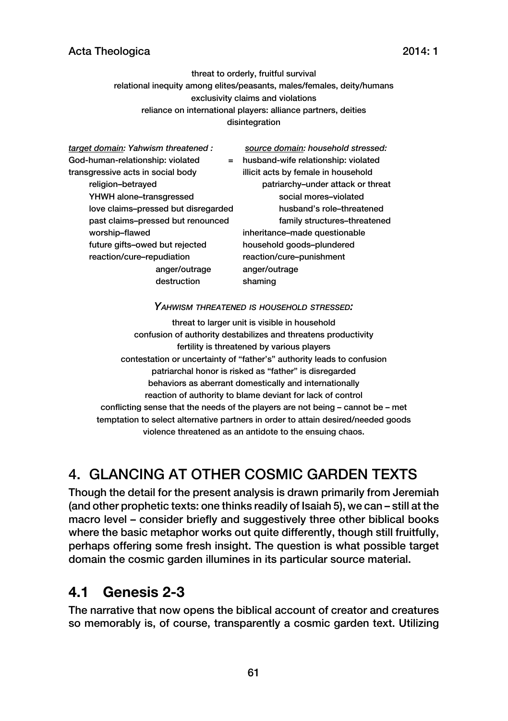### Acta Theologica 2014: 1

threat to orderly, fruitful survival relational inequity among elites/peasants, males/females, deity/humans exclusivity claims and violations reliance on international players: alliance partners, deities disintegration

*target domain: Yahwism threatened : source domain: household stressed:* God-human-relationship: violated = husband-wife relationship: violated transgressive acts in social body illicit acts by female in household religion–betrayed patriarchy–under attack or threat YHWH alone–transgressed social mores–violated love claims–pressed but disregarded husband's role–threatened past claims–pressed but renounced family structures–threatened worship–flawed inheritance–made questionable future gifts–owed but rejected household goods–plundered reaction/cure–repudiation reaction/cure–punishment anger/outrage anger/outrage destruction shaming

#### *Yahwism threatened is household stressed:*

threat to larger unit is visible in household confusion of authority destabilizes and threatens productivity fertility is threatened by various players contestation or uncertainty of "father's" authority leads to confusion patriarchal honor is risked as "father" is disregarded behaviors as aberrant domestically and internationally reaction of authority to blame deviant for lack of control conflicting sense that the needs of the players are not being – cannot be – met temptation to select alternative partners in order to attain desired/needed goods violence threatened as an antidote to the ensuing chaos.

## 4. GLANCING AT OTHER COSMIC GARDEN TEXTS

Though the detail for the present analysis is drawn primarily from Jeremiah (and other prophetic texts: one thinks readily of Isaiah 5), we can – still at the macro level – consider briefly and suggestively three other biblical books where the basic metaphor works out quite differently, though still fruitfully, perhaps offering some fresh insight. The question is what possible target domain the cosmic garden illumines in its particular source material.

### **4.1 Genesis 2-3**

The narrative that now opens the biblical account of creator and creatures so memorably is, of course, transparently a cosmic garden text. Utilizing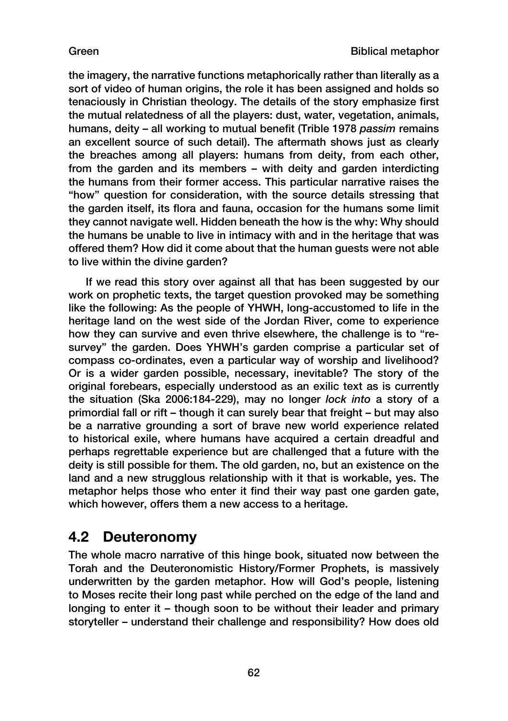the imagery, the narrative functions metaphorically rather than literally as a sort of video of human origins, the role it has been assigned and holds so tenaciously in Christian theology. The details of the story emphasize first the mutual relatedness of all the players: dust, water, vegetation, animals, humans, deity – all working to mutual benefit (Trible 1978 *passim* remains an excellent source of such detail). The aftermath shows just as clearly the breaches among all players: humans from deity, from each other, from the garden and its members – with deity and garden interdicting the humans from their former access. This particular narrative raises the "how" question for consideration, with the source details stressing that the garden itself, its flora and fauna, occasion for the humans some limit they cannot navigate well. Hidden beneath the how is the why: Why should the humans be unable to live in intimacy with and in the heritage that was offered them? How did it come about that the human guests were not able to live within the divine garden?

If we read this story over against all that has been suggested by our work on prophetic texts, the target question provoked may be something like the following: As the people of YHWH, long-accustomed to life in the heritage land on the west side of the Jordan River, come to experience how they can survive and even thrive elsewhere, the challenge is to "resurvey" the garden. Does YHWH's garden comprise a particular set of compass co-ordinates, even a particular way of worship and livelihood? Or is a wider garden possible, necessary, inevitable? The story of the original forebears, especially understood as an exilic text as is currently the situation (Ska 2006:184-229), may no longer *lock into* a story of a primordial fall or rift – though it can surely bear that freight – but may also be a narrative grounding a sort of brave new world experience related to historical exile, where humans have acquired a certain dreadful and perhaps regrettable experience but are challenged that a future with the deity is still possible for them. The old garden, no, but an existence on the land and a new strugglous relationship with it that is workable, yes. The metaphor helps those who enter it find their way past one garden gate, which however, offers them a new access to a heritage.

## **4.2 Deuteronomy**

The whole macro narrative of this hinge book, situated now between the Torah and the Deuteronomistic History/Former Prophets, is massively underwritten by the garden metaphor. How will God's people, listening to Moses recite their long past while perched on the edge of the land and longing to enter it – though soon to be without their leader and primary storyteller – understand their challenge and responsibility? How does old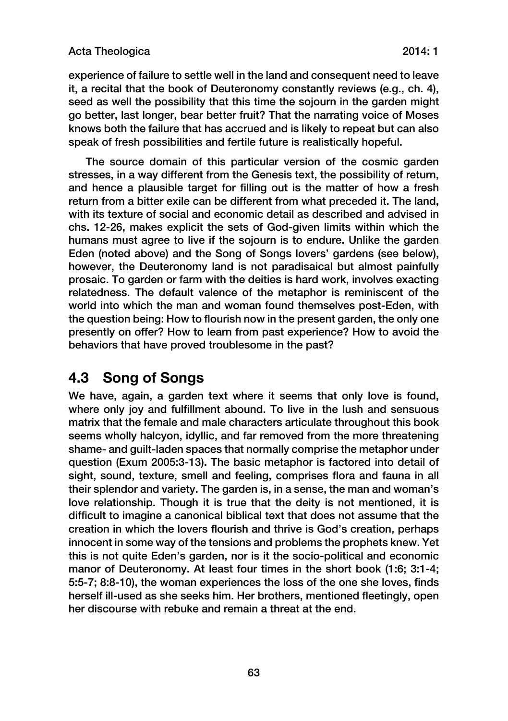### Acta Theologica 2014: 1

experience of failure to settle well in the land and consequent need to leave it, a recital that the book of Deuteronomy constantly reviews (e.g., ch. 4), seed as well the possibility that this time the sojourn in the garden might go better, last longer, bear better fruit? That the narrating voice of Moses knows both the failure that has accrued and is likely to repeat but can also speak of fresh possibilities and fertile future is realistically hopeful.

The source domain of this particular version of the cosmic garden stresses, in a way different from the Genesis text, the possibility of return, and hence a plausible target for filling out is the matter of how a fresh return from a bitter exile can be different from what preceded it. The land, with its texture of social and economic detail as described and advised in chs. 12-26, makes explicit the sets of God-given limits within which the humans must agree to live if the sojourn is to endure. Unlike the garden Eden (noted above) and the Song of Songs lovers' gardens (see below), however, the Deuteronomy land is not paradisaical but almost painfully prosaic. To garden or farm with the deities is hard work, involves exacting relatedness. The default valence of the metaphor is reminiscent of the world into which the man and woman found themselves post-Eden, with the question being: How to flourish now in the present garden, the only one presently on offer? How to learn from past experience? How to avoid the behaviors that have proved troublesome in the past?

## **4.3 Song of Songs**

We have, again, a garden text where it seems that only love is found, where only joy and fulfillment abound. To live in the lush and sensuous matrix that the female and male characters articulate throughout this book seems wholly halcyon, idyllic, and far removed from the more threatening shame- and guilt-laden spaces that normally comprise the metaphor under question (Exum 2005:3-13). The basic metaphor is factored into detail of sight, sound, texture, smell and feeling, comprises flora and fauna in all their splendor and variety. The garden is, in a sense, the man and woman's love relationship. Though it is true that the deity is not mentioned, it is difficult to imagine a canonical biblical text that does not assume that the creation in which the lovers flourish and thrive is God's creation, perhaps innocent in some way of the tensions and problems the prophets knew. Yet this is not quite Eden's garden, nor is it the socio-political and economic manor of Deuteronomy. At least four times in the short book (1:6; 3:1-4; 5:5-7; 8:8-10), the woman experiences the loss of the one she loves, finds herself ill-used as she seeks him. Her brothers, mentioned fleetingly, open her discourse with rebuke and remain a threat at the end.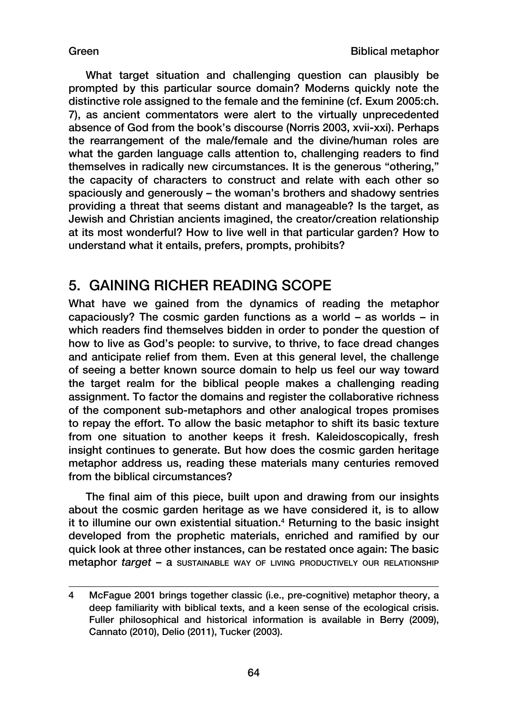What target situation and challenging question can plausibly be prompted by this particular source domain? Moderns quickly note the distinctive role assigned to the female and the feminine (cf. Exum 2005:ch. 7), as ancient commentators were alert to the virtually unprecedented absence of God from the book's discourse (Norris 2003, xvii-xxi). Perhaps the rearrangement of the male/female and the divine/human roles are what the garden language calls attention to, challenging readers to find themselves in radically new circumstances. It is the generous "othering," the capacity of characters to construct and relate with each other so spaciously and generously – the woman's brothers and shadowy sentries providing a threat that seems distant and manageable? Is the target, as Jewish and Christian ancients imagined, the creator/creation relationship at its most wonderful? How to live well in that particular garden? How to understand what it entails, prefers, prompts, prohibits?

## 5. GAINING RICHER READING SCOPE

What have we gained from the dynamics of reading the metaphor capaciously? The cosmic garden functions as a world – as worlds – in which readers find themselves bidden in order to ponder the question of how to live as God's people: to survive, to thrive, to face dread changes and anticipate relief from them. Even at this general level, the challenge of seeing a better known source domain to help us feel our way toward the target realm for the biblical people makes a challenging reading assignment. To factor the domains and register the collaborative richness of the component sub-metaphors and other analogical tropes promises to repay the effort. To allow the basic metaphor to shift its basic texture from one situation to another keeps it fresh. Kaleidoscopically, fresh insight continues to generate. But how does the cosmic garden heritage metaphor address us, reading these materials many centuries removed from the biblical circumstances?

The final aim of this piece, built upon and drawing from our insights about the cosmic garden heritage as we have considered it, is to allow it to illumine our own existential situation.4 Returning to the basic insight developed from the prophetic materials, enriched and ramified by our quick look at three other instances, can be restated once again: The basic metaphor *target* – a sustainable way of living productively our relationship

<sup>4</sup> McFague 2001 brings together classic (i.e., pre-cognitive) metaphor theory, a deep familiarity with biblical texts, and a keen sense of the ecological crisis. Fuller philosophical and historical information is available in Berry (2009), Cannato (2010), Delio (2011), Tucker (2003).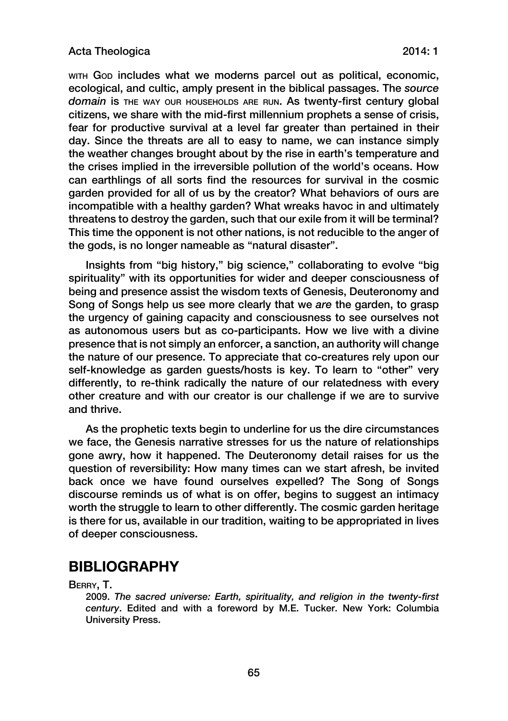#### Acta Theologica 2014: 1

WITH God includes what we moderns parcel out as political, economic, ecological, and cultic, amply present in the biblical passages. The *source*  domain is THE WAY OUR HOUSEHOLDS ARE RUN. As twenty-first century global citizens, we share with the mid-first millennium prophets a sense of crisis, fear for productive survival at a level far greater than pertained in their day. Since the threats are all to easy to name, we can instance simply the weather changes brought about by the rise in earth's temperature and the crises implied in the irreversible pollution of the world's oceans. How can earthlings of all sorts find the resources for survival in the cosmic garden provided for all of us by the creator? What behaviors of ours are incompatible with a healthy garden? What wreaks havoc in and ultimately threatens to destroy the garden, such that our exile from it will be terminal? This time the opponent is not other nations, is not reducible to the anger of the gods, is no longer nameable as "natural disaster".

Insights from "big history," big science," collaborating to evolve "big spirituality" with its opportunities for wider and deeper consciousness of being and presence assist the wisdom texts of Genesis, Deuteronomy and Song of Songs help us see more clearly that we *are* the garden, to grasp the urgency of gaining capacity and consciousness to see ourselves not as autonomous users but as co-participants. How we live with a divine presence that is not simply an enforcer, a sanction, an authority will change the nature of our presence. To appreciate that co-creatures rely upon our self-knowledge as garden guests/hosts is key. To learn to "other" very differently, to re-think radically the nature of our relatedness with every other creature and with our creator is our challenge if we are to survive and thrive.

As the prophetic texts begin to underline for us the dire circumstances we face, the Genesis narrative stresses for us the nature of relationships gone awry, how it happened. The Deuteronomy detail raises for us the question of reversibility: How many times can we start afresh, be invited back once we have found ourselves expelled? The Song of Songs discourse reminds us of what is on offer, begins to suggest an intimacy worth the struggle to learn to other differently. The cosmic garden heritage is there for us, available in our tradition, waiting to be appropriated in lives of deeper consciousness.

## **BIBLIOGRAPHY**

Berry, T.

2009. *The sacred universe: Earth, spirituality, and religion in the twenty-first century*. Edited and with a foreword by M.E. Tucker. New York: Columbia University Press.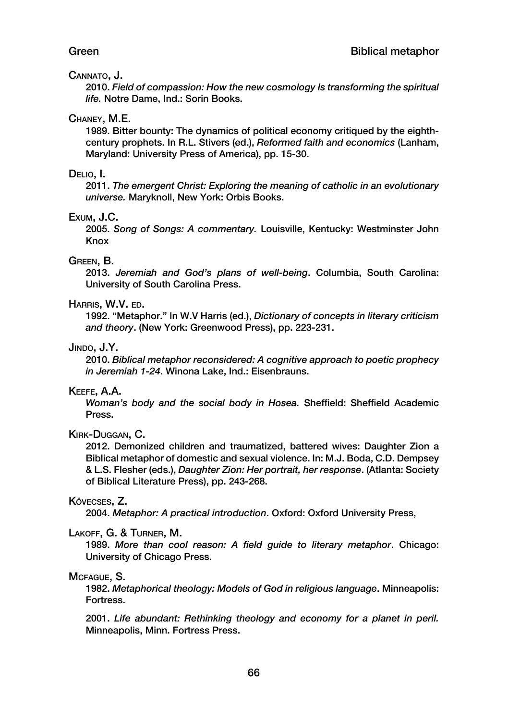#### Cannato, J.

2010. *Field of compassion: How the new cosmology Is transforming the spiritual life.* Notre Dame, Ind.: Sorin Books.

#### Chaney, M.E.

1989. Bitter bounty: The dynamics of political economy critiqued by the eighthcentury prophets. In R.L. Stivers (ed.), *Reformed faith and economics* (Lanham, Maryland: University Press of America), pp. 15-30.

#### Delio, I.

2011. *The emergent Christ: Exploring the meaning of catholic in an evolutionary universe.* Maryknoll, New York: Orbis Books.

#### Exum, J.C.

2005. *Song of Songs: A commentary.* Louisville, Kentucky: Westminster John Knox

### Green, B.

2013. *Jeremiah and God's plans of well-being*. Columbia, South Carolina: University of South Carolina Press.

#### Harris, W.V. ed.

1992. "Metaphor." In W.V Harris (ed.), *Dictionary of concepts in literary criticism and theory*. (New York: Greenwood Press), pp. 223-231.

#### JINDO, J.Y.

2010. *Biblical metaphor reconsidered: A cognitive approach to poetic prophecy in Jeremiah 1-24*. Winona Lake, Ind.: Eisenbrauns.

#### Keefe, A.A.

*Woman's body and the social body in Hosea.* Sheffield: Sheffield Academic Press.

### Kirk-Duggan, C.

2012. Demonized children and traumatized, battered wives: Daughter Zion a Biblical metaphor of domestic and sexual violence. In: M.J. Boda, C.D. Dempsey & L.S. Flesher (eds.), *Daughter Zion: Her portrait, her response*. (Atlanta: Society of Biblical Literature Press), pp. 243-268.

#### Kövecses, Z.

2004. *Metaphor: A practical introduction*. Oxford: Oxford University Press,

#### Lakoff, G. & Turner, M.

1989. *More than cool reason: A field guide to literary metaphor*. Chicago: University of Chicago Press.

#### Mcfague, S.

1982. *Metaphorical theology: Models of God in religious language*. Minneapolis: Fortress.

2001. *Life abundant: Rethinking theology and economy for a planet in peril.* Minneapolis, Minn. Fortress Press.